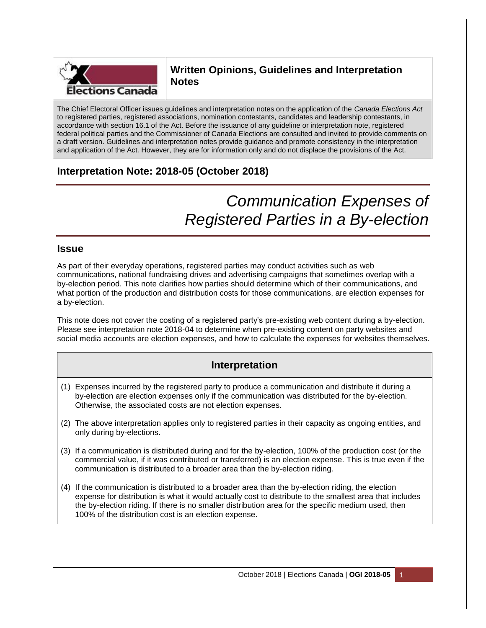

## **Written Opinions, Guidelines and Interpretation Notes**

The Chief Electoral Officer issues guidelines and interpretation notes on the application of the *Canada Elections Act* to registered parties, registered associations, nomination contestants, candidates and leadership contestants, in accordance with section 16.1 of the Act. Before the issuance of any guideline or interpretation note, registered federal political parties and the Commissioner of Canada Elections are consulted and invited to provide comments on a draft version. Guidelines and interpretation notes provide guidance and promote consistency in the interpretation and application of the Act. However, they are for information only and do not displace the provisions of the Act.

## **Interpretation Note: 2018-05 (October 2018)**

# *Communication Expenses of Registered Parties in a By-election*

### **Issue**

As part of their everyday operations, registered parties may conduct activities such as web communications, national fundraising drives and advertising campaigns that sometimes overlap with a by-election period. This note clarifies how parties should determine which of their communications, and what portion of the production and distribution costs for those communications, are election expenses for a by-election.

This note does not cover the costing of a registered party's pre-existing web content during a by-election. Please see interpretation note 2018-04 to determine when pre-existing content on party websites and social media accounts are election expenses, and how to calculate the expenses for websites themselves.

## **Interpretation**

- (1) Expenses incurred by the registered party to produce a communication and distribute it during a by-election are election expenses only if the communication was distributed for the by-election. Otherwise, the associated costs are not election expenses.
- (2) The above interpretation applies only to registered parties in their capacity as ongoing entities, and only during by-elections.
- (3) If a communication is distributed during and for the by-election, 100% of the production cost (or the commercial value, if it was contributed or transferred) is an election expense. This is true even if the communication is distributed to a broader area than the by-election riding.
- (4) If the communication is distributed to a broader area than the by-election riding, the election expense for distribution is what it would actually cost to distribute to the smallest area that includes the by-election riding. If there is no smaller distribution area for the specific medium used, then 100% of the distribution cost is an election expense.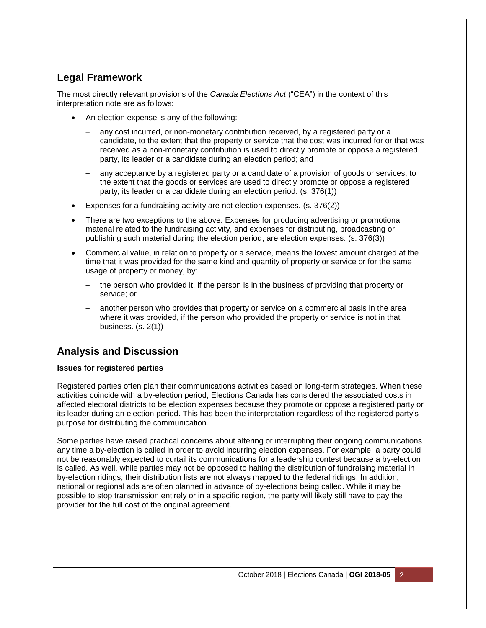## **Legal Framework**

The most directly relevant provisions of the *Canada Elections Act* ("CEA") in the context of this interpretation note are as follows:

- An election expense is any of the following:
	- any cost incurred, or non-monetary contribution received, by a registered party or a candidate, to the extent that the property or service that the cost was incurred for or that was received as a non-monetary contribution is used to directly promote or oppose a registered party, its leader or a candidate during an election period; and
	- any acceptance by a registered party or a candidate of a provision of goods or services, to the extent that the goods or services are used to directly promote or oppose a registered party, its leader or a candidate during an election period. (s. 376(1))
- Expenses for a fundraising activity are not election expenses. (s. 376(2))
- There are two exceptions to the above. Expenses for producing advertising or promotional material related to the fundraising activity, and expenses for distributing, broadcasting or publishing such material during the election period, are election expenses. (s. 376(3))
- Commercial value, in relation to property or a service, means the lowest amount charged at the time that it was provided for the same kind and quantity of property or service or for the same usage of property or money, by:
	- the person who provided it, if the person is in the business of providing that property or service; or
	- another person who provides that property or service on a commercial basis in the area where it was provided, if the person who provided the property or service is not in that business. (s. 2(1))

## **Analysis and Discussion**

#### **Issues for registered parties**

Registered parties often plan their communications activities based on long-term strategies. When these activities coincide with a by-election period, Elections Canada has considered the associated costs in affected electoral districts to be election expenses because they promote or oppose a registered party or its leader during an election period. This has been the interpretation regardless of the registered party's purpose for distributing the communication.

Some parties have raised practical concerns about altering or interrupting their ongoing communications any time a by-election is called in order to avoid incurring election expenses. For example, a party could not be reasonably expected to curtail its communications for a leadership contest because a by-election is called. As well, while parties may not be opposed to halting the distribution of fundraising material in by-election ridings, their distribution lists are not always mapped to the federal ridings. In addition, national or regional ads are often planned in advance of by-elections being called. While it may be possible to stop transmission entirely or in a specific region, the party will likely still have to pay the provider for the full cost of the original agreement.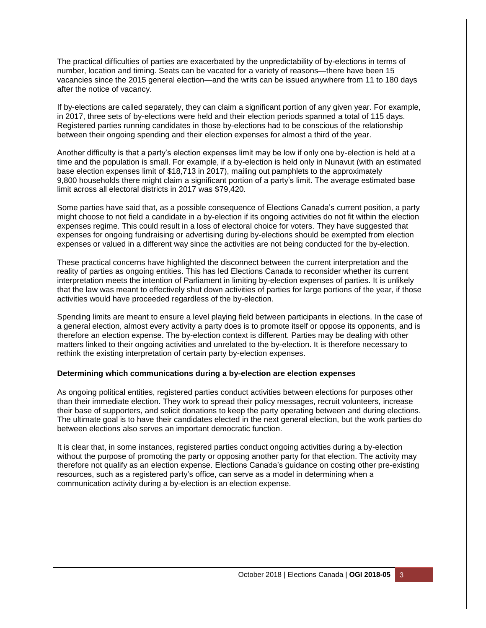The practical difficulties of parties are exacerbated by the unpredictability of by-elections in terms of number, location and timing. Seats can be vacated for a variety of reasons—there have been 15 vacancies since the 2015 general election—and the writs can be issued anywhere from 11 to 180 days after the notice of vacancy.

If by-elections are called separately, they can claim a significant portion of any given year. For example, in 2017, three sets of by-elections were held and their election periods spanned a total of 115 days. Registered parties running candidates in those by-elections had to be conscious of the relationship between their ongoing spending and their election expenses for almost a third of the year.

Another difficulty is that a party's election expenses limit may be low if only one by-election is held at a time and the population is small. For example, if a by-election is held only in Nunavut (with an estimated base election expenses limit of \$18,713 in 2017), mailing out pamphlets to the approximately 9,800 households there might claim a significant portion of a party's limit. The average estimated base limit across all electoral districts in 2017 was \$79,420.

Some parties have said that, as a possible consequence of Elections Canada's current position, a party might choose to not field a candidate in a by-election if its ongoing activities do not fit within the election expenses regime. This could result in a loss of electoral choice for voters. They have suggested that expenses for ongoing fundraising or advertising during by-elections should be exempted from election expenses or valued in a different way since the activities are not being conducted for the by-election.

These practical concerns have highlighted the disconnect between the current interpretation and the reality of parties as ongoing entities. This has led Elections Canada to reconsider whether its current interpretation meets the intention of Parliament in limiting by-election expenses of parties. It is unlikely that the law was meant to effectively shut down activities of parties for large portions of the year, if those activities would have proceeded regardless of the by-election.

Spending limits are meant to ensure a level playing field between participants in elections. In the case of a general election, almost every activity a party does is to promote itself or oppose its opponents, and is therefore an election expense. The by-election context is different. Parties may be dealing with other matters linked to their ongoing activities and unrelated to the by-election. It is therefore necessary to rethink the existing interpretation of certain party by-election expenses.

#### **Determining which communications during a by-election are election expenses**

As ongoing political entities, registered parties conduct activities between elections for purposes other than their immediate election. They work to spread their policy messages, recruit volunteers, increase their base of supporters, and solicit donations to keep the party operating between and during elections. The ultimate goal is to have their candidates elected in the next general election, but the work parties do between elections also serves an important democratic function.

It is clear that, in some instances, registered parties conduct ongoing activities during a by-election without the purpose of promoting the party or opposing another party for that election. The activity may therefore not qualify as an election expense. Elections Canada's guidance on costing other pre-existing resources, such as a registered party's office, can serve as a model in determining when a communication activity during a by-election is an election expense.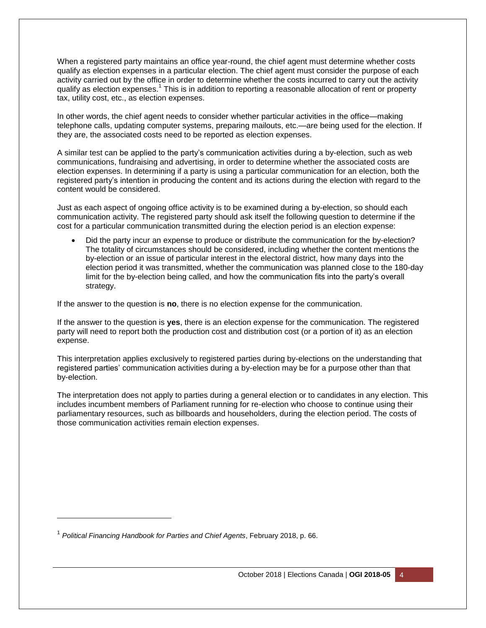When a registered party maintains an office year-round, the chief agent must determine whether costs qualify as election expenses in a particular election. The chief agent must consider the purpose of each activity carried out by the office in order to determine whether the costs incurred to carry out the activity qualify as election expenses.<sup>1</sup> This is in addition to reporting a reasonable allocation of rent or property tax, utility cost, etc., as election expenses.

In other words, the chief agent needs to consider whether particular activities in the office—making telephone calls, updating computer systems, preparing mailouts, etc.—are being used for the election. If they are, the associated costs need to be reported as election expenses.

A similar test can be applied to the party's communication activities during a by-election, such as web communications, fundraising and advertising, in order to determine whether the associated costs are election expenses. In determining if a party is using a particular communication for an election, both the registered party's intention in producing the content and its actions during the election with regard to the content would be considered.

Just as each aspect of ongoing office activity is to be examined during a by-election, so should each communication activity. The registered party should ask itself the following question to determine if the cost for a particular communication transmitted during the election period is an election expense:

 Did the party incur an expense to produce or distribute the communication for the by-election? The totality of circumstances should be considered, including whether the content mentions the by-election or an issue of particular interest in the electoral district, how many days into the election period it was transmitted, whether the communication was planned close to the 180-day limit for the by-election being called, and how the communication fits into the party's overall strategy.

If the answer to the question is **no**, there is no election expense for the communication.

If the answer to the question is **yes**, there is an election expense for the communication. The registered party will need to report both the production cost and distribution cost (or a portion of it) as an election expense.

This interpretation applies exclusively to registered parties during by-elections on the understanding that registered parties' communication activities during a by-election may be for a purpose other than that by-election.

The interpretation does not apply to parties during a general election or to candidates in any election. This includes incumbent members of Parliament running for re-election who choose to continue using their parliamentary resources, such as billboards and householders, during the election period. The costs of those communication activities remain election expenses.

l

<sup>1</sup> *Political Financing Handbook for Parties and Chief Agents*, February 2018, p. 66.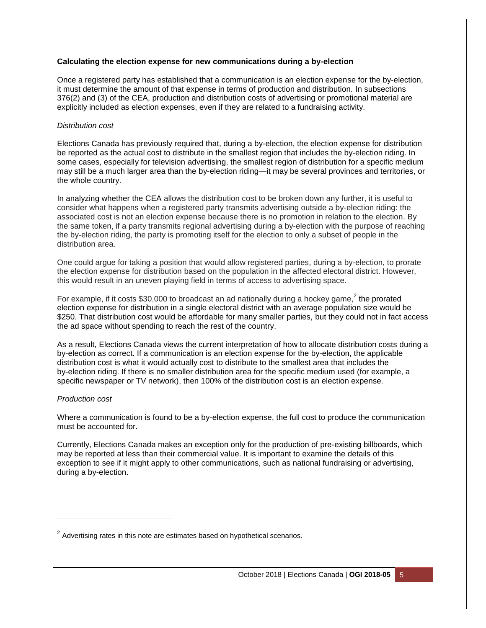#### **Calculating the election expense for new communications during a by-election**

Once a registered party has established that a communication is an election expense for the by-election, it must determine the amount of that expense in terms of production and distribution. In subsections 376(2) and (3) of the CEA, production and distribution costs of advertising or promotional material are explicitly included as election expenses, even if they are related to a fundraising activity.

#### *Distribution cost*

Elections Canada has previously required that, during a by-election, the election expense for distribution be reported as the actual cost to distribute in the smallest region that includes the by-election riding. In some cases, especially for television advertising, the smallest region of distribution for a specific medium may still be a much larger area than the by-election riding—it may be several provinces and territories, or the whole country.

In analyzing whether the CEA allows the distribution cost to be broken down any further, it is useful to consider what happens when a registered party transmits advertising outside a by-election riding: the associated cost is not an election expense because there is no promotion in relation to the election. By the same token, if a party transmits regional advertising during a by-election with the purpose of reaching the by-election riding, the party is promoting itself for the election to only a subset of people in the distribution area.

One could argue for taking a position that would allow registered parties, during a by-election, to prorate the election expense for distribution based on the population in the affected electoral district. However, this would result in an uneven playing field in terms of access to advertising space.

For example, if it costs \$30,000 to broadcast an ad nationally during a hockey game,<sup>2</sup> the prorated election expense for distribution in a single electoral district with an average population size would be \$250. That distribution cost would be affordable for many smaller parties, but they could not in fact access the ad space without spending to reach the rest of the country.

As a result, Elections Canada views the current interpretation of how to allocate distribution costs during a by-election as correct. If a communication is an election expense for the by-election, the applicable distribution cost is what it would actually cost to distribute to the smallest area that includes the by-election riding. If there is no smaller distribution area for the specific medium used (for example, a specific newspaper or TV network), then 100% of the distribution cost is an election expense.

#### *Production cost*

l

Where a communication is found to be a by-election expense, the full cost to produce the communication must be accounted for.

Currently, Elections Canada makes an exception only for the production of pre-existing billboards, which may be reported at less than their commercial value. It is important to examine the details of this exception to see if it might apply to other communications, such as national fundraising or advertising, during a by-election.

 $2$  Advertising rates in this note are estimates based on hypothetical scenarios.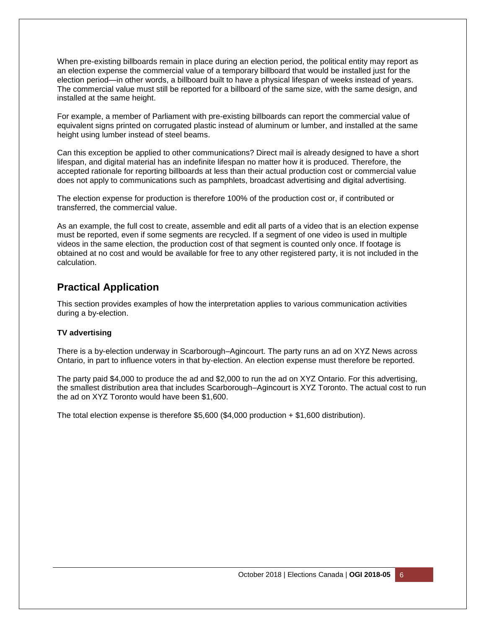When pre-existing billboards remain in place during an election period, the political entity may report as an election expense the commercial value of a temporary billboard that would be installed just for the election period—in other words, a billboard built to have a physical lifespan of weeks instead of years. The commercial value must still be reported for a billboard of the same size, with the same design, and installed at the same height.

For example, a member of Parliament with pre-existing billboards can report the commercial value of equivalent signs printed on corrugated plastic instead of aluminum or lumber, and installed at the same height using lumber instead of steel beams.

Can this exception be applied to other communications? Direct mail is already designed to have a short lifespan, and digital material has an indefinite lifespan no matter how it is produced. Therefore, the accepted rationale for reporting billboards at less than their actual production cost or commercial value does not apply to communications such as pamphlets, broadcast advertising and digital advertising.

The election expense for production is therefore 100% of the production cost or, if contributed or transferred, the commercial value.

As an example, the full cost to create, assemble and edit all parts of a video that is an election expense must be reported, even if some segments are recycled. If a segment of one video is used in multiple videos in the same election, the production cost of that segment is counted only once. If footage is obtained at no cost and would be available for free to any other registered party, it is not included in the calculation.

## **Practical Application**

This section provides examples of how the interpretation applies to various communication activities during a by-election.

#### **TV advertising**

There is a by-election underway in Scarborough–Agincourt. The party runs an ad on XYZ News across Ontario, in part to influence voters in that by-election. An election expense must therefore be reported.

The party paid \$4,000 to produce the ad and \$2,000 to run the ad on XYZ Ontario. For this advertising, the smallest distribution area that includes Scarborough–Agincourt is XYZ Toronto. The actual cost to run the ad on XYZ Toronto would have been \$1,600.

The total election expense is therefore  $$5,600$   $$4,000$  production + \$1,600 distribution).